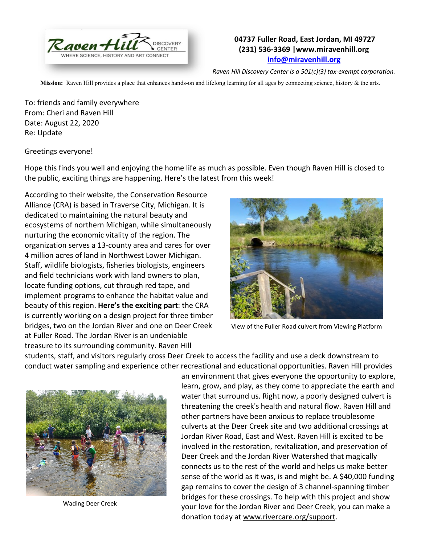

## **04737 Fuller Road, East Jordan, MI 49727 (231) 536-3369 |www.miravenhill.org [info@miravenhill.org](mailto:info@miravenhill.org)**

*Raven Hill Discovery Center is a 501(c)(3) tax-exempt corporation.*

**Mission:** Raven Hill provides a place that enhances hands-on and lifelong learning for all ages by connecting science, history & the arts.

To: friends and family everywhere From: Cheri and Raven Hill Date: August 22, 2020 Re: Update

Greetings everyone!

Hope this finds you well and enjoying the home life as much as possible. Even though Raven Hill is closed to the public, exciting things are happening. Here's the latest from this week!

According to their website, the Conservation Resource Alliance (CRA) is based in Traverse City, Michigan. It is dedicated to maintaining the natural beauty and ecosystems of northern Michigan, while simultaneously nurturing the economic vitality of the region. The organization serves a 13-county area and cares for over 4 million acres of land in Northwest Lower Michigan. Staff, wildlife biologists, fisheries biologists, engineers and field technicians work with land owners to plan, locate funding options, cut through red tape, and implement programs to enhance the habitat value and beauty of this region. **Here's the exciting part**: the CRA is currently working on a design project for three timber bridges, two on the Jordan River and one on Deer Creek at Fuller Road. The Jordan River is an undeniable treasure to its surrounding community. Raven Hill



View of the Fuller Road culvert from Viewing Platform

students, staff, and visitors regularly cross Deer Creek to access the facility and use a deck downstream to conduct water sampling and experience other recreational and educational opportunities. Raven Hill provides



Wading Deer Creek

an environment that gives everyone the opportunity to explore, learn, grow, and play, as they come to appreciate the earth and water that surround us. Right now, a poorly designed culvert is threatening the creek's health and natural flow. Raven Hill and other partners have been anxious to replace troublesome culverts at the Deer Creek site and two additional crossings at Jordan River Road, East and West. Raven Hill is excited to be involved in the restoration, revitalization, and preservation of Deer Creek and the Jordan River Watershed that magically connects us to the rest of the world and helps us make better sense of the world as it was, is and might be. A \$40,000 funding gap remains to cover the design of 3 channel-spanning timber bridges for these crossings. To help with this project and show your love for the Jordan River and Deer Creek, you can make a donation today at [www.rivercare.org/support.](http://www.rivercare.org/support)